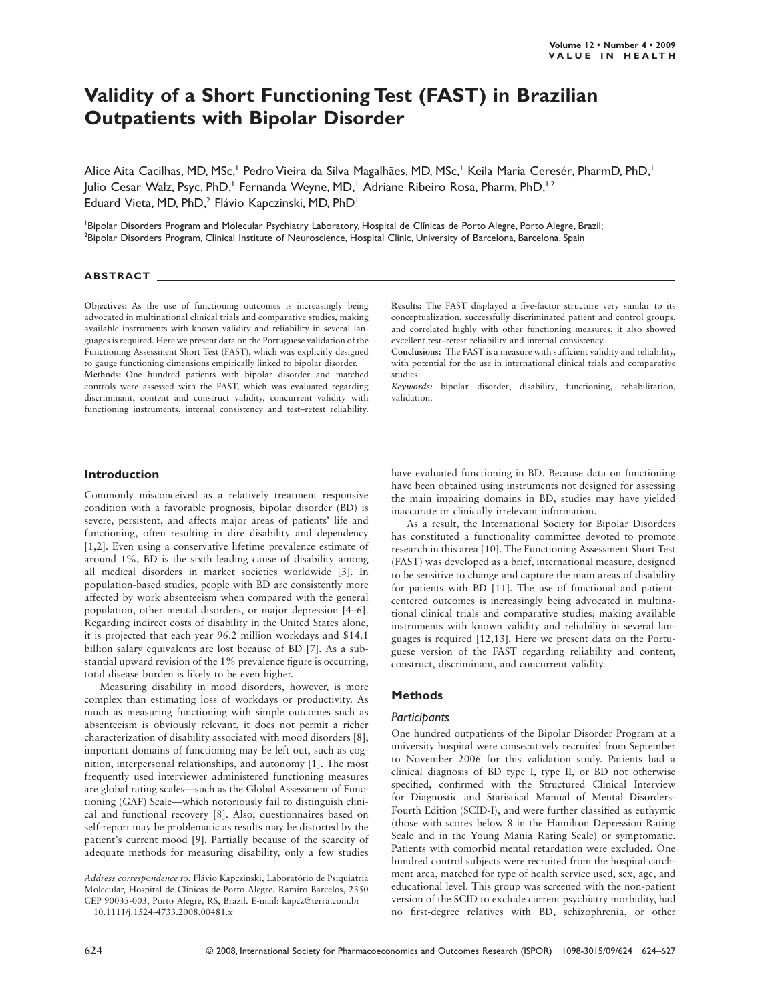# **Validity of a Short Functioning Test (FAST) in Brazilian Outpatients with Bipolar Disorder**

Alice Aita Cacilhas, MD, MSc,<sup>1</sup> Pedro Vieira da Silva Magalhães, MD, MSc,<sup>1</sup> Keila Maria Ceresér, PharmD, PhD,<sup>1</sup> Julio Cesar Walz, Psyc, PhD,<sup>1</sup> Fernanda Weyne, MD,<sup>1</sup> Adriane Ribeiro Rosa, Pharm, PhD,<sup>1,2</sup> Eduard Vieta, MD, PhD,<sup>2</sup> Flávio Kapczinski, MD, PhD<sup>1</sup>

<sup>1</sup>Bipolar Disorders Program and Molecular Psychiatry Laboratory, Hospital de Clínicas de Porto Alegre, Porto Alegre, Brazil; <sup>2</sup>Bipolar Disorders Program, Clinical Institute of Neuroscience, Hospital Clinic, University of Barcelona, Barcelona, Spain

### **ABSTRACT**

**Objectives:** As the use of functioning outcomes is increasingly being advocated in multinational clinical trials and comparative studies, making available instruments with known validity and reliability in several languages is required. Here we present data on the Portuguese validation of the Functioning Assessment Short Test (FAST), which was explicitly designed to gauge functioning dimensions empirically linked to bipolar disorder. **Methods:** One hundred patients with bipolar disorder and matched controls were assessed with the FAST, which was evaluated regarding discriminant, content and construct validity, concurrent validity with

functioning instruments, internal consistency and test–retest reliability.

**Results:** The FAST displayed a five-factor structure very similar to its conceptualization, successfully discriminated patient and control groups, and correlated highly with other functioning measures; it also showed excellent test–retest reliability and internal consistency.

**Conclusions:** The FAST is a measure with sufficient validity and reliability, with potential for the use in international clinical trials and comparative studies.

*Keywords:* bipolar disorder, disability, functioning, rehabilitation, validation.

## **Introduction**

Commonly misconceived as a relatively treatment responsive condition with a favorable prognosis, bipolar disorder (BD) is severe, persistent, and affects major areas of patients' life and functioning, often resulting in dire disability and dependency [1,2]. Even using a conservative lifetime prevalence estimate of around 1%, BD is the sixth leading cause of disability among all medical disorders in market societies worldwide [3]. In population-based studies, people with BD are consistently more affected by work absenteeism when compared with the general population, other mental disorders, or major depression [4–6]. Regarding indirect costs of disability in the United States alone, it is projected that each year 96.2 million workdays and \$14.1 billion salary equivalents are lost because of BD [7]. As a substantial upward revision of the 1% prevalence figure is occurring, total disease burden is likely to be even higher.

Measuring disability in mood disorders, however, is more complex than estimating loss of workdays or productivity. As much as measuring functioning with simple outcomes such as absenteeism is obviously relevant, it does not permit a richer characterization of disability associated with mood disorders [8]; important domains of functioning may be left out, such as cognition, interpersonal relationships, and autonomy [1]. The most frequently used interviewer administered functioning measures are global rating scales—such as the Global Assessment of Functioning (GAF) Scale—which notoriously fail to distinguish clinical and functional recovery [8]. Also, questionnaires based on self-report may be problematic as results may be distorted by the patient's current mood [9]. Partially because of the scarcity of adequate methods for measuring disability, only a few studies

*Address correspondence to:* Flávio Kapczinski, Laboratório de Psiquiatria Molecular, Hospital de Clinicas de Porto Alegre, Ramiro Barcelos, 2350 CEP 90035-003, Porto Alegre, RS, Brazil. E-mail: kapcz@terra.com.br 10.1111/j.1524-4733.2008.00481.x

have evaluated functioning in BD. Because data on functioning have been obtained using instruments not designed for assessing the main impairing domains in BD, studies may have yielded inaccurate or clinically irrelevant information.

As a result, the International Society for Bipolar Disorders has constituted a functionality committee devoted to promote research in this area [10]. The Functioning Assessment Short Test (FAST) was developed as a brief, international measure, designed to be sensitive to change and capture the main areas of disability for patients with BD [11]. The use of functional and patientcentered outcomes is increasingly being advocated in multinational clinical trials and comparative studies; making available instruments with known validity and reliability in several languages is required [12,13]. Here we present data on the Portuguese version of the FAST regarding reliability and content, construct, discriminant, and concurrent validity.

# **Methods**

### *Participants*

One hundred outpatients of the Bipolar Disorder Program at a university hospital were consecutively recruited from September to November 2006 for this validation study. Patients had a clinical diagnosis of BD type I, type II, or BD not otherwise specified, confirmed with the Structured Clinical Interview for Diagnostic and Statistical Manual of Mental Disorders-Fourth Edition (SCID-I), and were further classified as euthymic (those with scores below 8 in the Hamilton Depression Rating Scale and in the Young Mania Rating Scale) or symptomatic. Patients with comorbid mental retardation were excluded. One hundred control subjects were recruited from the hospital catchment area, matched for type of health service used, sex, age, and educational level. This group was screened with the non-patient version of the SCID to exclude current psychiatry morbidity, had no first-degree relatives with BD, schizophrenia, or other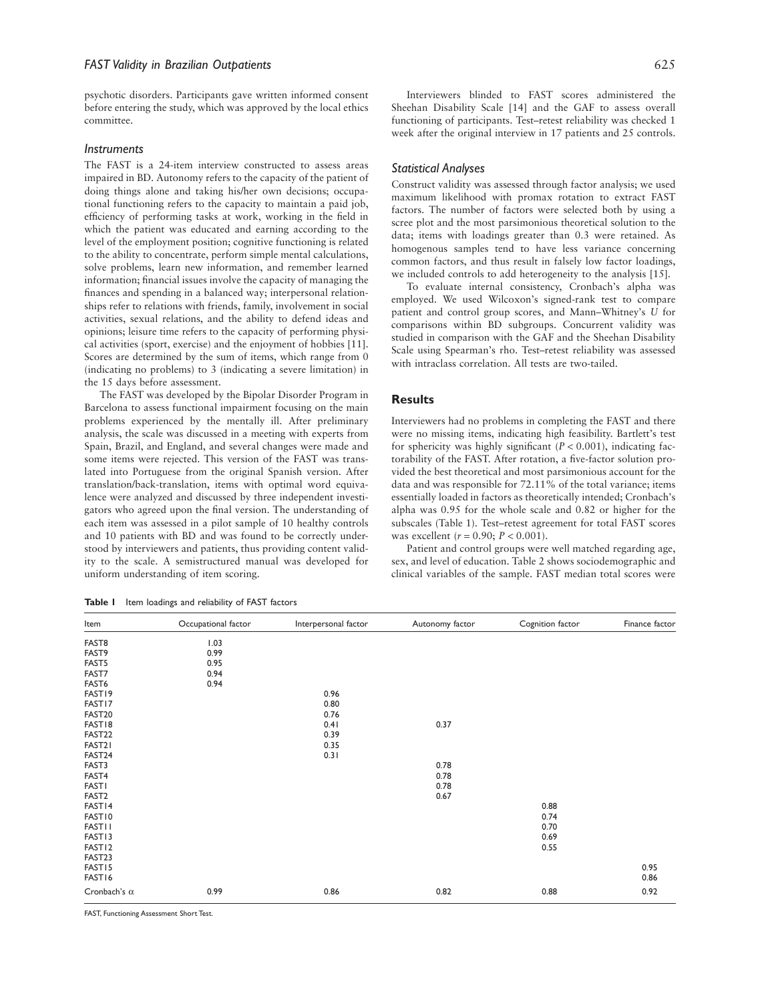psychotic disorders. Participants gave written informed consent before entering the study, which was approved by the local ethics committee.

#### *Instruments*

The FAST is a 24-item interview constructed to assess areas impaired in BD. Autonomy refers to the capacity of the patient of doing things alone and taking his/her own decisions; occupational functioning refers to the capacity to maintain a paid job, efficiency of performing tasks at work, working in the field in which the patient was educated and earning according to the level of the employment position; cognitive functioning is related to the ability to concentrate, perform simple mental calculations, solve problems, learn new information, and remember learned information; financial issues involve the capacity of managing the finances and spending in a balanced way; interpersonal relationships refer to relations with friends, family, involvement in social activities, sexual relations, and the ability to defend ideas and opinions; leisure time refers to the capacity of performing physical activities (sport, exercise) and the enjoyment of hobbies [11]. Scores are determined by the sum of items, which range from 0 (indicating no problems) to 3 (indicating a severe limitation) in the 15 days before assessment.

The FAST was developed by the Bipolar Disorder Program in Barcelona to assess functional impairment focusing on the main problems experienced by the mentally ill. After preliminary analysis, the scale was discussed in a meeting with experts from Spain, Brazil, and England, and several changes were made and some items were rejected. This version of the FAST was translated into Portuguese from the original Spanish version. After translation/back-translation, items with optimal word equivalence were analyzed and discussed by three independent investigators who agreed upon the final version. The understanding of each item was assessed in a pilot sample of 10 healthy controls and 10 patients with BD and was found to be correctly understood by interviewers and patients, thus providing content validity to the scale. A semistructured manual was developed for uniform understanding of item scoring.

**Table 1** Item loadings and reliability of FAST factors

Interviewers blinded to FAST scores administered the Sheehan Disability Scale [14] and the GAF to assess overall functioning of participants. Test–retest reliability was checked 1 week after the original interview in 17 patients and 25 controls.

#### *Statistical Analyses*

Construct validity was assessed through factor analysis; we used maximum likelihood with promax rotation to extract FAST factors. The number of factors were selected both by using a scree plot and the most parsimonious theoretical solution to the data; items with loadings greater than 0.3 were retained. As homogenous samples tend to have less variance concerning common factors, and thus result in falsely low factor loadings, we included controls to add heterogeneity to the analysis [15].

To evaluate internal consistency, Cronbach's alpha was employed. We used Wilcoxon's signed-rank test to compare patient and control group scores, and Mann–Whitney's *U* for comparisons within BD subgroups. Concurrent validity was studied in comparison with the GAF and the Sheehan Disability Scale using Spearman's rho. Test–retest reliability was assessed with intraclass correlation. All tests are two-tailed.

#### **Results**

Interviewers had no problems in completing the FAST and there were no missing items, indicating high feasibility. Bartlett's test for sphericity was highly significant (*P* < 0.001), indicating factorability of the FAST. After rotation, a five-factor solution provided the best theoretical and most parsimonious account for the data and was responsible for 72.11% of the total variance; items essentially loaded in factors as theoretically intended; Cronbach's alpha was 0.95 for the whole scale and 0.82 or higher for the subscales (Table 1). Test–retest agreement for total FAST scores was excellent (*r* = 0.90; *P* < 0.001).

Patient and control groups were well matched regarding age, sex, and level of education. Table 2 shows sociodemographic and clinical variables of the sample. FAST median total scores were

| Item                | Occupational factor | Interpersonal factor | Autonomy factor | Cognition factor | Finance factor |
|---------------------|---------------------|----------------------|-----------------|------------------|----------------|
| FAST8               | 1.03                |                      |                 |                  |                |
| FAST9               | 0.99                |                      |                 |                  |                |
| FAST5               | 0.95                |                      |                 |                  |                |
| FAST7               | 0.94                |                      |                 |                  |                |
| FAST6               | 0.94                |                      |                 |                  |                |
| FAST19              |                     | 0.96                 |                 |                  |                |
| FAST17              |                     | 0.80                 |                 |                  |                |
| FAST <sub>20</sub>  |                     | 0.76                 |                 |                  |                |
| FAST18              |                     | 0.41                 | 0.37            |                  |                |
| FAST <sub>22</sub>  |                     | 0.39                 |                 |                  |                |
| FAST <sub>2</sub>   |                     | 0.35                 |                 |                  |                |
| FAST <sub>24</sub>  |                     | 0.31                 |                 |                  |                |
| FAST3               |                     |                      | 0.78            |                  |                |
| FAST4               |                     |                      | 0.78            |                  |                |
| <b>FASTI</b>        |                     |                      | 0.78            |                  |                |
| FAST <sub>2</sub>   |                     |                      | 0.67            |                  |                |
| FAST14              |                     |                      |                 | 0.88             |                |
| FAST10              |                     |                      |                 | 0.74             |                |
| <b>FASTII</b>       |                     |                      |                 | 0.70             |                |
| FAST13              |                     |                      |                 | 0.69             |                |
| FAST12              |                     |                      |                 | 0.55             |                |
| FAST <sub>23</sub>  |                     |                      |                 |                  |                |
| FAST15              |                     |                      |                 |                  | 0.95           |
| FAST16              |                     |                      |                 |                  | 0.86           |
| Cronbach's $\alpha$ | 0.99                | 0.86                 | 0.82            | 0.88             | 0.92           |

FAST, Functioning Assessment Short Test.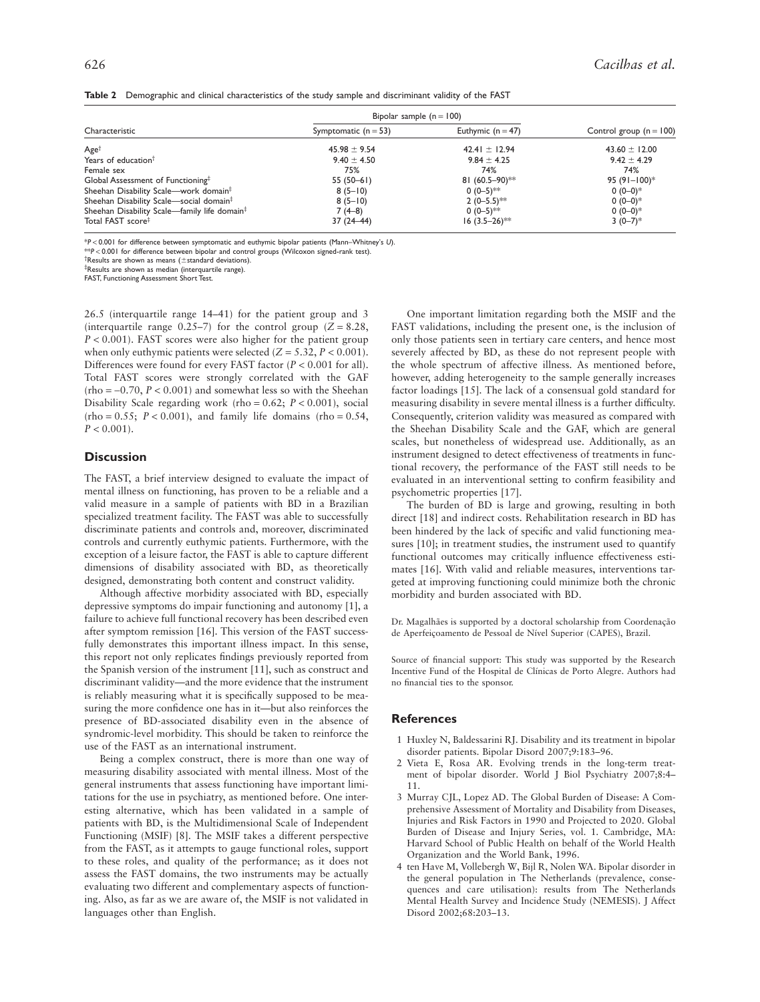|  | Table 2 Demographic and clinical characteristics of the study sample and discriminant validity of the FAST |  |  |  |  |
|--|------------------------------------------------------------------------------------------------------------|--|--|--|--|
|--|------------------------------------------------------------------------------------------------------------|--|--|--|--|

|                                                          | Bipolar sample $(n = 100)$ |                     |                           |  |
|----------------------------------------------------------|----------------------------|---------------------|---------------------------|--|
| Characteristic                                           | Symptomatic $(n = 53)$     | Euthymic $(n = 47)$ | Control group $(n = 100)$ |  |
| $Age^{\dagger}$                                          | $45.98 \pm 9.54$           | $42.41 \pm 12.94$   | $43.60 \pm 12.00$         |  |
| Years of education <sup>†</sup>                          | $9.40 \pm 4.50$            | $9.84 \pm 4.25$     | $9.42 \pm 4.29$           |  |
| Female sex                                               | 75%                        | 74%                 | 74%                       |  |
| Global Assessment of Functioning <sup>‡</sup>            | 55 $(50-61)$               | 81 $(60.5-90)$ **   | $95(91-100)*$             |  |
| Sheehan Disability Scale-work domain <sup>#</sup>        | $8(5-10)$                  | 0 $(0-5)$ **        | 0 $(0-0)*$                |  |
| Sheehan Disability Scale-social domain <sup>‡</sup>      | $8(5-10)$                  | $2(0-5.5)$ **       | 0 $(0-0)*$                |  |
| Sheehan Disability Scale-family life domain <sup>‡</sup> | $7(4-8)$                   | 0 $(0-5)$ **        | 0 $(0-0)*$                |  |
| Total FAST score <sup>‡</sup>                            | $37(24-44)$                | $16(3.5-26)$ **     | $3(0-7)*$                 |  |

\**P* < 0.001 for difference between symptomatic and euthymic bipolar patients (Mann–Whitney's *U*).

\*\**P* < 0.001 for difference between bipolar and control groups (Wilcoxon signed-rank test).

 $\dagger$ Results are shown as means ( $\pm$ standard deviations). †Results are shown as means (±standard deviations).<br>‡Results are shown as median (interquartile range).

FAST, Functioning Assessment Short Test.

26.5 (interquartile range 14–41) for the patient group and 3 (interquartile range  $0.25-7$ ) for the control group  $(Z = 8.28,$ *P* < 0.001). FAST scores were also higher for the patient group when only euthymic patients were selected  $(Z = 5.32, P < 0.001)$ . Differences were found for every FAST factor (*P* < 0.001 for all). Total FAST scores were strongly correlated with the GAF  $(rho = -0.70, P < 0.001)$  and somewhat less so with the Sheehan Disability Scale regarding work (rho = 0.62; *P* < 0.001), social  $(rho = 0.55; P < 0.001)$ , and family life domains  $(rho = 0.54,$  $P < 0.001$ .

## **Discussion**

The FAST, a brief interview designed to evaluate the impact of mental illness on functioning, has proven to be a reliable and a valid measure in a sample of patients with BD in a Brazilian specialized treatment facility. The FAST was able to successfully discriminate patients and controls and, moreover, discriminated controls and currently euthymic patients. Furthermore, with the exception of a leisure factor, the FAST is able to capture different dimensions of disability associated with BD, as theoretically designed, demonstrating both content and construct validity.

Although affective morbidity associated with BD, especially depressive symptoms do impair functioning and autonomy [1], a failure to achieve full functional recovery has been described even after symptom remission [16]. This version of the FAST successfully demonstrates this important illness impact. In this sense, this report not only replicates findings previously reported from the Spanish version of the instrument [11], such as construct and discriminant validity—and the more evidence that the instrument is reliably measuring what it is specifically supposed to be measuring the more confidence one has in it—but also reinforces the presence of BD-associated disability even in the absence of syndromic-level morbidity. This should be taken to reinforce the use of the FAST as an international instrument.

Being a complex construct, there is more than one way of measuring disability associated with mental illness. Most of the general instruments that assess functioning have important limitations for the use in psychiatry, as mentioned before. One interesting alternative, which has been validated in a sample of patients with BD, is the Multidimensional Scale of Independent Functioning (MSIF) [8]. The MSIF takes a different perspective from the FAST, as it attempts to gauge functional roles, support to these roles, and quality of the performance; as it does not assess the FAST domains, the two instruments may be actually evaluating two different and complementary aspects of functioning. Also, as far as we are aware of, the MSIF is not validated in languages other than English.

One important limitation regarding both the MSIF and the FAST validations, including the present one, is the inclusion of only those patients seen in tertiary care centers, and hence most severely affected by BD, as these do not represent people with the whole spectrum of affective illness. As mentioned before, however, adding heterogeneity to the sample generally increases factor loadings [15]. The lack of a consensual gold standard for measuring disability in severe mental illness is a further difficulty. Consequently, criterion validity was measured as compared with the Sheehan Disability Scale and the GAF, which are general scales, but nonetheless of widespread use. Additionally, as an instrument designed to detect effectiveness of treatments in functional recovery, the performance of the FAST still needs to be evaluated in an interventional setting to confirm feasibility and psychometric properties [17].

The burden of BD is large and growing, resulting in both direct [18] and indirect costs. Rehabilitation research in BD has been hindered by the lack of specific and valid functioning measures [10]; in treatment studies, the instrument used to quantify functional outcomes may critically influence effectiveness estimates [16]. With valid and reliable measures, interventions targeted at improving functioning could minimize both the chronic morbidity and burden associated with BD.

Dr. Magalhães is supported by a doctoral scholarship from Coordenação de Aperfeiçoamento de Pessoal de Nível Superior (CAPES), Brazil.

Source of financial support: This study was supported by the Research Incentive Fund of the Hospital de Clínicas de Porto Alegre. Authors had no financial ties to the sponsor.

#### **References**

- 1 Huxley N, Baldessarini RJ. Disability and its treatment in bipolar disorder patients. Bipolar Disord 2007;9:183–96.
- 2 Vieta E, Rosa AR. Evolving trends in the long-term treatment of bipolar disorder. World J Biol Psychiatry 2007;8:4– 11.
- 3 Murray CJL, Lopez AD. The Global Burden of Disease: A Comprehensive Assessment of Mortality and Disability from Diseases, Injuries and Risk Factors in 1990 and Projected to 2020. Global Burden of Disease and Injury Series, vol. 1. Cambridge, MA: Harvard School of Public Health on behalf of the World Health Organization and the World Bank, 1996.
- 4 ten Have M, Vollebergh W, Bijl R, Nolen WA. Bipolar disorder in the general population in The Netherlands (prevalence, consequences and care utilisation): results from The Netherlands Mental Health Survey and Incidence Study (NEMESIS). J Affect Disord 2002;68:203–13.